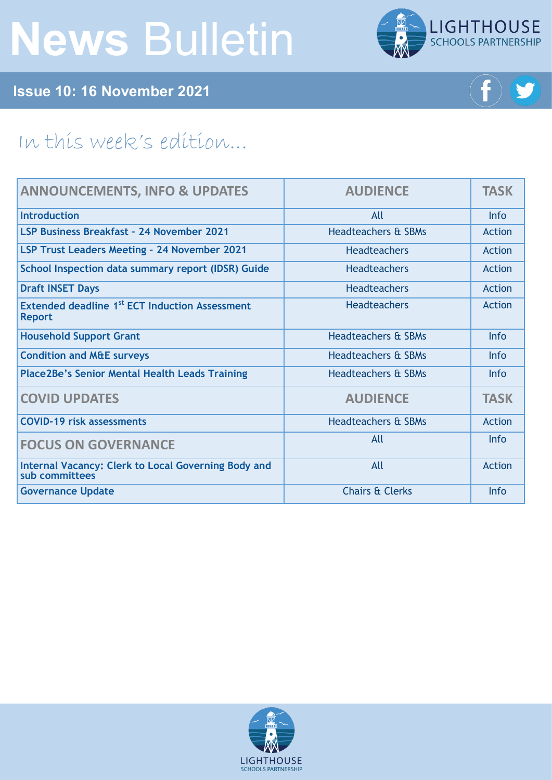# **News** Bulletin



**Issue 10: 16 November 2021**



## In this week's edition...

| <b>ANNOUNCEMENTS, INFO &amp; UPDATES</b>                                    | <b>AUDIENCE</b>                | <b>TASK</b>   |
|-----------------------------------------------------------------------------|--------------------------------|---------------|
| Introduction                                                                | All                            | Info          |
| LSP Business Breakfast - 24 November 2021                                   | <b>Headteachers &amp; SBMs</b> | <b>Action</b> |
| <b>LSP Trust Leaders Meeting - 24 November 2021</b>                         | <b>Headteachers</b>            | Action        |
| School Inspection data summary report (IDSR) Guide                          | <b>Headteachers</b>            | <b>Action</b> |
| <b>Draft INSET Days</b>                                                     | <b>Headteachers</b>            | Action        |
| Extended deadline 1 <sup>st</sup> ECT Induction Assessment<br><b>Report</b> | <b>Headteachers</b>            | Action        |
| <b>Household Support Grant</b>                                              | <b>Headteachers &amp; SBMs</b> | Info          |
| <b>Condition and M&amp;E surveys</b>                                        | <b>Headteachers &amp; SBMs</b> | <b>Info</b>   |
| <b>Place2Be's Senior Mental Health Leads Training</b>                       | Headteachers & SBMs            | <b>Info</b>   |
| <b>COVID UPDATES</b>                                                        | <b>AUDIENCE</b>                | <b>TASK</b>   |
| <b>COVID-19 risk assessments</b>                                            | <b>Headteachers &amp; SBMs</b> | <b>Action</b> |
| <b>FOCUS ON GOVERNANCE</b>                                                  | All                            | Info          |
| Internal Vacancy: Clerk to Local Governing Body and<br>sub committees       | All                            | <b>Action</b> |
| <b>Governance Update</b>                                                    | <b>Chairs &amp; Clerks</b>     | Info          |

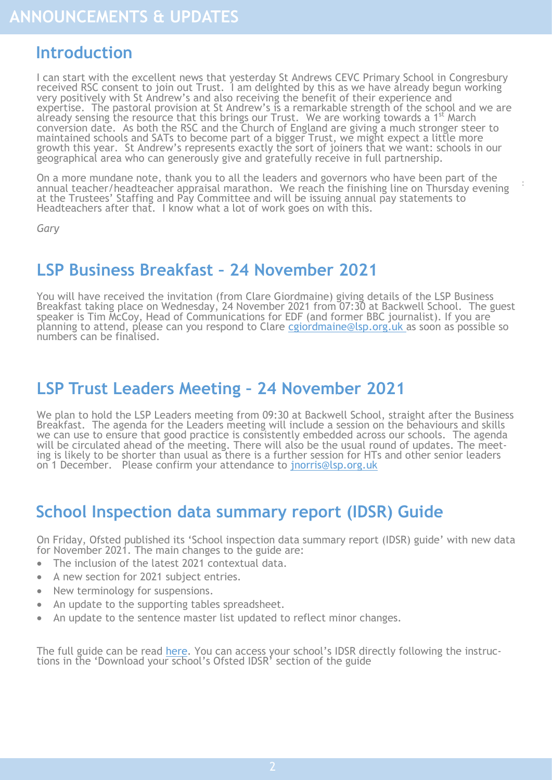## <span id="page-1-0"></span>**Introduction**

I can start with the excellent news that yesterday St Andrews CEVC Primary School in Congresbury received RSC consent to join out Trust. I am delighted by this as we have already begun working very positively with St Andrew's and also receiving the benefit of their experience and expertise. The pastoral provision at St Andrew's is a remarkable strength of the school and we are already sensing the resource that this brings our Trust. We are working towards a 1<sup>st</sup> March conversion date. As both the RSC and the Church of England are giving a much stronger steer to maintained schools and SATs to become part of a bigger Trust, we might expect a little more growth this year. St Andrew's represents exactly the sort of joiners that we want: schools in our geographical area who can generously give and gratefully receive in full partnership.

On a more mundane note, thank you to all the leaders and governors who have been part of the annual teacher/headteacher appraisal marathon. We reach the finishing line on Thursday evening at the Trustees' Staffing and Pay Committee and will be issuing annual pay statements to Headteachers after that. I know what a lot of work goes on with this.

:

*Gary*

## **LSP Business Breakfast – 24 November 2021**

You will have received the invitation (from Clare Giordmaine) giving details of the LSP Business Breakfast taking place on Wednesday, 24 November 2021 from 07:30 at Backwell School. The guest speaker is Tim McCoy, Head of Communications for EDF (and former BBC journalist). If you are  $\bar{\ }$ planning to attend, please can you respond to Clare cgiordmaine@lsp.org.uk as soon as possible so numbers can be finalised.

## **LSP Trust Leaders Meeting – 24 November 2021**

We plan to hold the LSP Leaders meeting from 09:30 at Backwell School, straight after the Business Breakfast. The agenda for the Leaders meeting will include a session on the behaviours and skills we can use to ensure that good practice is consistently embedded across our schools. The agenda will be circulated ahead of the meeting. There will also be the usual round of updates. The meeting is likely to be shorter than usual as there is a further session for HTs and other senior leaders on 1 December. Please confirm your attendance to [jnorris@lsp.org.uk](mailto:jnorris@lsp.org.uk)

## **School Inspection data summary report (IDSR) Guide**

On Friday, Ofsted published its 'School inspection data summary report (IDSR) guide' with new data for November 2021. The main changes to the guide are:

- The inclusion of the latest 2021 contextual data.
- A new section for 2021 subject entries.
- New terminology for suspensions.
- An update to the supporting tables spreadsheet.
- An update to the sentence master list updated to reflect minor changes.

The full guide can be read [here.](https://theschoolbus.us10.list-manage.com/track/click?u=08e15c8da9e9682a8c29ca704&id=548b0d22f1&e=2aee3da12c) You can access your school's IDSR directly following the instructions in the 'Download your school's Ofsted IDSR' section of the guide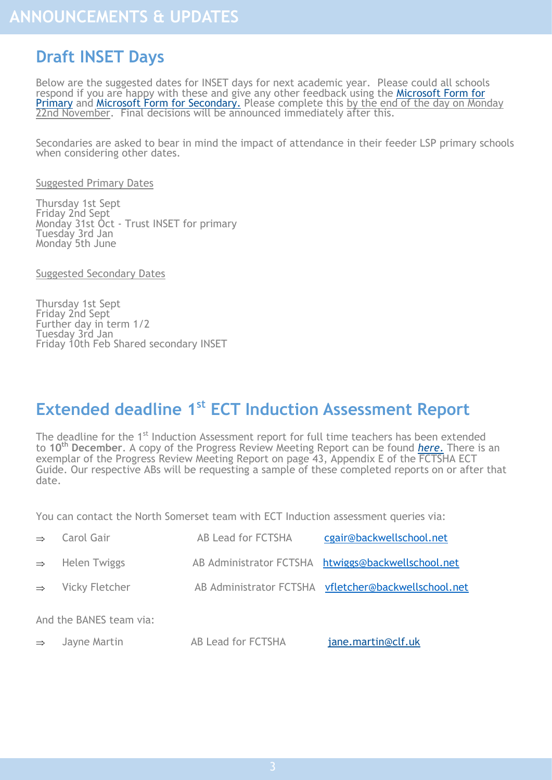## <span id="page-2-0"></span>**Draft INSET Days**

Below are the suggested dates for INSET days for next academic year. Please could all schools respond if you are happy with these and give any other feedback using the Microsoft Form for [Primary](https://forms.office.com/Pages/ResponsePage.aspx?id=-Iolp0FXrkKtRDgOpwxaANpGu0imqDhPu5ms-NKp7RRUOUw0RUdEMTVBUERTVTBYVkFGQzQxNVdWNS4u) and [Microsoft Form for Secondary.](https://forms.office.com/Pages/ResponsePage.aspx?id=-Iolp0FXrkKtRDgOpwxaANpGu0imqDhPu5ms-NKp7RRUQVMxQk9RSTRMSzhWUVFKVTU3SVAzR0ZaRS4u) Please complete this by the end of the day on Monday 22nd November. Final decisions will be announced immediately after this.

Secondaries are asked to bear in mind the impact of attendance in their feeder LSP primary schools when considering other dates.

Suggested Primary Dates

Thursday 1st Sept Friday 2nd Sept Monday 31st Oct - Trust INSET for primary Tuesday 3rd Jan Monday 5th June

Suggested Secondary Dates

Thursday 1st Sept Friday 2nd Sept Further day in term 1/2 Tuesday 3rd Jan Friday 10th Feb Shared secondary INSET

## **Extended deadline 1st ECT Induction Assessment Report**

The deadline for the 1<sup>st</sup> Induction Assessment report for full time teachers has been extended to **10th December**. A copy of the Progress Review Meeting Report can be found *[here](https://foldr.lsp.org.uk/public/P8LBW)*. There is an exemplar of the Progress Review Meeting Report on page 43, Appendix E of the FCTSHA ECT Guide. Our respective ABs will be requesting a sample of these completed reports on or after that date.

You can contact the North Somerset team with ECT Induction assessment queries via:

| $\Rightarrow$ Carol Gair     | AB Lead for FCTSHA | cgair@backwellschool.net                             |
|------------------------------|--------------------|------------------------------------------------------|
| $\Rightarrow$ Helen Twiggs   |                    | AB Administrator FCTSHA htwiggs@backwellschool.net   |
| $\Rightarrow$ Vicky Fletcher |                    | AB Administrator FCTSHA vfletcher@backwellschool.net |
|                              |                    |                                                      |

And the BANES team via:

| AB Lead for FCTSHA<br>Jayne Martin<br>$\Rightarrow$ | jane.martin@clf.uk |
|-----------------------------------------------------|--------------------|
|-----------------------------------------------------|--------------------|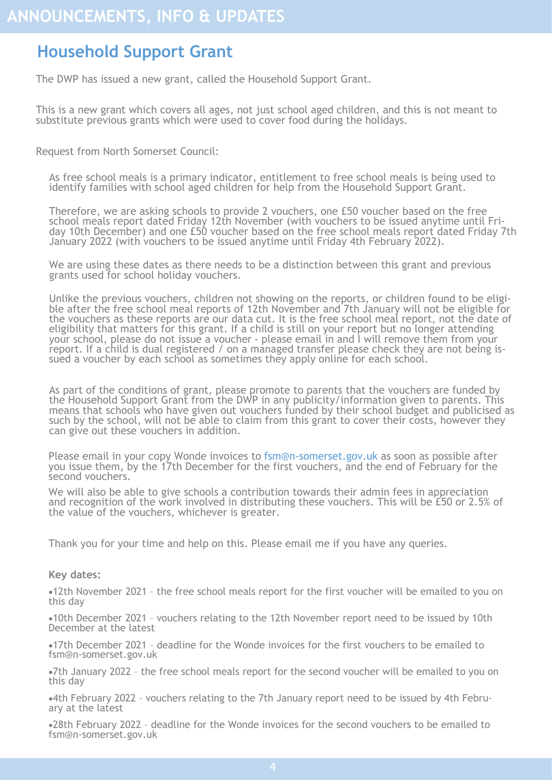## <span id="page-3-0"></span>**Household Support Grant**

The DWP has issued a new grant, called the Household Support Grant.

This is a new grant which covers all ages, not just school aged children, and this is not meant to substitute previous grants which were used to cover food during the holidays.

Request from North Somerset Council:

As free school meals is a primary indicator, entitlement to free school meals is being used to identify families with school aged children for help from the Household Support Grant.

Therefore, we are asking schools to provide 2 vouchers, one £50 voucher based on the free school meals report dated Friday 12th November (with vouchers to be issued anytime until Friday 10th December) and one £50 voucher based on the free school meals report dated Friday 7th January 2022 (with vouchers to be issued anytime until Friday 4th February 2022).

We are using these dates as there needs to be a distinction between this grant and previous grants used for school holiday vouchers.

Unlike the previous vouchers, children not showing on the reports, or children found to be eligible after the free school meal reports of 12th November and 7th January will not be eligible for the vouchers as these reports are our data cut. It is the free school meal report, not the date of eligibility that matters for this grant. If a child is still on your report but no longer attending your school, please do not issue a voucher - please email in and I will remove them from your report. If a child is dual registered / on a managed transfer please check they are not being issued a voucher by each school as sometimes they apply online for each school.

As part of the conditions of grant, please promote to parents that the vouchers are funded by the Household Support Grant from the DWP in any publicity/information given to parents. This means that schools who have given out vouchers funded by their school budget and publicised as such by the school, will not be able to claim from this grant to cover their costs, however they can give out these vouchers in addition.

Please email in your copy Wonde invoices to fsm@n-somerset.gov.uk as soon as possible after you issue them, by the 17th December for the first vouchers, and the end of February for the second vouchers.

We will also be able to give schools a contribution towards their admin fees in appreciation and recognition of the work involved in distributing these vouchers. This will be £50 or 2.5% of the value of the vouchers, whichever is greater.

Thank you for your time and help on this. Please email me if you have any queries.

#### **Key dates:**

•12th November 2021 – the free school meals report for the first voucher will be emailed to you on this day

•10th December 2021 – vouchers relating to the 12th November report need to be issued by 10th December at the latest

•17th December 2021 – deadline for the Wonde invoices for the first vouchers to be emailed to fsm@n-somerset.gov.uk

•7th January 2022 – the free school meals report for the second voucher will be emailed to you on this day

•4th February 2022 – vouchers relating to the 7th January report need to be issued by 4th February at the latest

•28th February 2022 – deadline for the Wonde invoices for the second vouchers to be emailed to fsm@n-somerset.gov.uk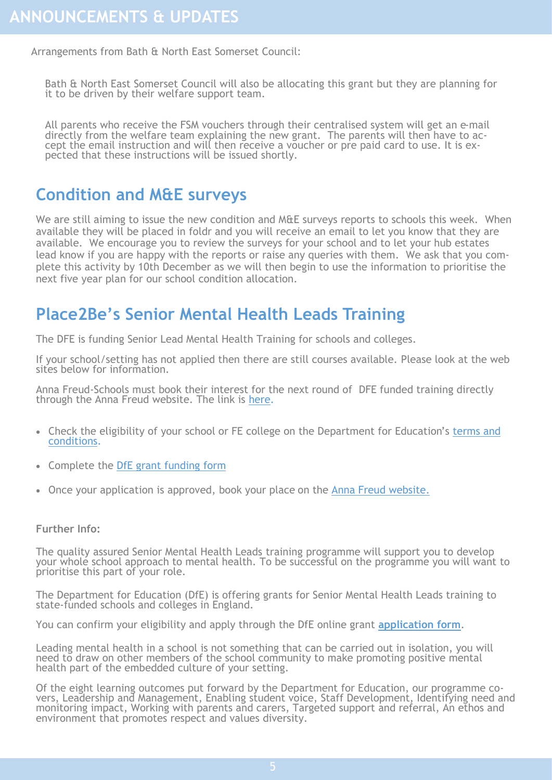<span id="page-4-0"></span>Arrangements from Bath & North East Somerset Council:

Bath & North East Somerset Council will also be allocating this grant but they are planning for it to be driven by their welfare support team.

All parents who receive the FSM vouchers through their centralised system will get an e-mail directly from the welfare team explaining the new grant. The parents will then have to accept the email instruction and will then receive a voucher or pre paid card to use. It is expected that these instructions will be issued shortly.

## **Condition and M&E surveys**

We are still aiming to issue the new condition and M&E surveys reports to schools this week. When available they will be placed in foldr and you will receive an email to let you know that they are available. We encourage you to review the surveys for your school and to let your hub estates lead know if you are happy with the reports or raise any queries with them. We ask that you complete this activity by 10th December as we will then begin to use the information to prioritise the next five year plan for our school condition allocation.

## **Place2Be's Senior Mental Health Leads Training**

The DFE is funding Senior Lead Mental Health Training for schools and colleges.

If your school/setting has not applied then there are still courses available. Please look at the web sites below for information.

Anna Freud-Schools must book their interest for the next round of DFE funded training directly through the Anna Freud website. The link is [here.](https://www.annafreud.org/training/training-and-conferences-overview/online-training-live-and-self-directed-courses/senior-mental-health-lead-training/)

- Check the eligibility of your school or FE college on the Department for Education's [terms and](https://www.gov.uk/government/publications/senior-mental-health-lead-training-grant-funding)  [conditions.](https://www.gov.uk/government/publications/senior-mental-health-lead-training-grant-funding)
- Complete the [DfE grant funding form](https://www.gov.uk/government/publications/senior-mental-health-lead-training-grant-funding)
- Once your application is approved, book your place on the [Anna Freud website.](https://bookwhen.com/place2be-smhl#focus=ev-sjpm-20220209140000)

#### **Further Info:**

The quality assured Senior Mental Health Leads training programme will support you to develop your whole school approach to mental health. To be successful on the programme you will want to prioritise this part of your role.

The Department for Education (DfE) is offering grants for Senior Mental Health Leads training to state-funded schools and colleges in England.

You can confirm your eligibility and apply through the DfE online grant **[application form](https://onlinecollections.des.fasst.org.uk/fastform/senior-mental-health-leads)**.

Leading mental health in a school is not something that can be carried out in isolation, you will need to draw on other members of the school community to make promoting positive mental health part of the embedded culture of your setting.

Of the eight learning outcomes put forward by the Department for Education, our programme covers, Leadership and Management, Enabling student voice, Staff Development, Identifying need and monitoring impact, Working with parents and carers, Targeted support and referral, An ethos and environment that promotes respect and values diversity.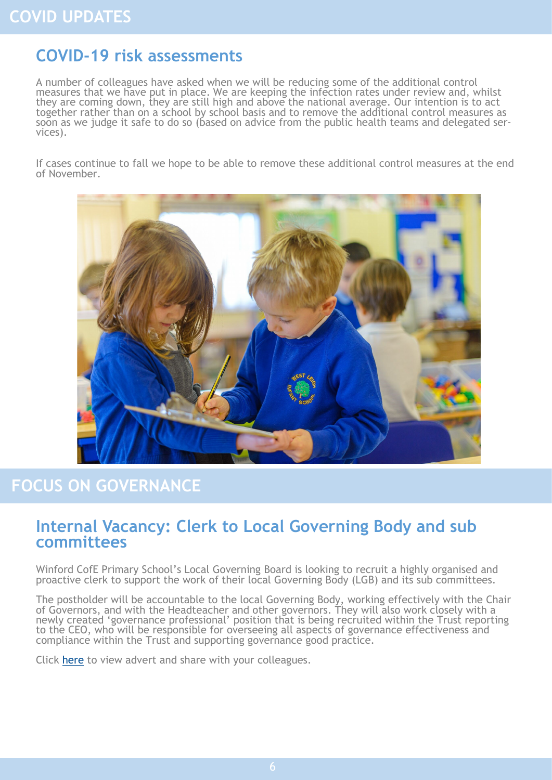## <span id="page-5-0"></span>**COVID-19 risk assessments**

A number of colleagues have asked when we will be reducing some of the additional control measures that we have put in place. We are keeping the infection rates under review and, whilst they are coming down, they are still high and above the national average. Our intention is to act together rather than on a school by school basis and to remove the additional control measures as soon as we judge it safe to do so (based on advice from the public health teams and delegated services).

If cases continue to fall we hope to be able to remove these additional control measures at the end of November.



## **FOCUS ON GOVERNANCE**

### **Internal Vacancy: Clerk to Local Governing Body and sub committees**

Winford CofE Primary School's Local Governing Board is looking to recruit a highly organised and proactive clerk to support the work of their local Governing Body (LGB) and its sub committees.

The postholder will be accountable to the local Governing Body, working effectively with the Chair of Governors, and with the Headteacher and other governors. They will also work closely with a newly created 'governance professional' position that is being recruited within the Trust reporting to the CEO, who will be responsible for overseeing all aspects of governance effectiveness and compliance within the Trust and supporting governance good practice.

Click [here](https://foldr.lsp.org.uk/public/WZVBN) to view advert and share with your colleagues.